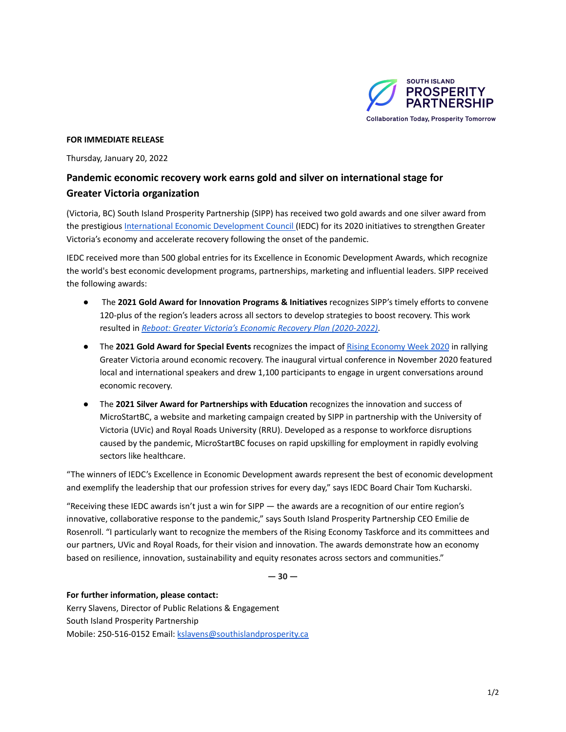

## **FOR IMMEDIATE RELEASE**

Thursday, January 20, 2022

## **Pandemic economic recovery work earns gold and silver on international stage for Greater Victoria organization**

(Victoria, BC) South Island Prosperity Partnership (SIPP) has received two gold awards and one silver award from the prestigious International Economic [Development](https://www.iedconline.org/) Council (IEDC) for its 2020 initiatives to strengthen Greater Victoria's economy and accelerate recovery following the onset of the pandemic.

IEDC received more than 500 global entries for its Excellence in Economic Development Awards, which recognize the world's best economic development programs, partnerships, marketing and influential leaders. SIPP received the following awards:

- The **2021 Gold Award for Innovation Programs & Initiatives** recognizes SIPP's timely efforts to convene 120-plus of the region's leaders across all sectors to develop strategies to boost recovery. This work resulted in *Reboot: Greater Victoria's Economic Recovery Plan [\(2020-2022\)](https://southislandprosperity.ca/wp-content/uploads/2020/11/Reboot_Greater-Victorias-Economic-Recovery-Plan-2020-2022_SIPP-FINAL.pdf)*.
- The **2021 Gold Award for Special Events** recognizes the impact of Rising [Economy](https://ourrisingeconomy.com/) Week 2020 in rallying Greater Victoria around economic recovery. The inaugural virtual conference in November 2020 featured local and international speakers and drew 1,100 participants to engage in urgent conversations around economic recovery.
- The **2021 Silver Award for Partnerships with Education** recognizes the innovation and success of MicroStartBC, a website and marketing campaign created by SIPP in partnership with the University of Victoria (UVic) and Royal Roads University (RRU). Developed as a response to workforce disruptions caused by the pandemic, MicroStartBC focuses on rapid upskilling for employment in rapidly evolving sectors like healthcare.

"The winners of IEDC's Excellence in Economic Development awards represent the best of economic development and exemplify the leadership that our profession strives for every day," says IEDC Board Chair Tom Kucharski.

"Receiving these IEDC awards isn't just a win for SIPP — the awards are a recognition of our entire region's innovative, collaborative response to the pandemic," says South Island Prosperity Partnership CEO Emilie de Rosenroll. "I particularly want to recognize the members of the Rising Economy Taskforce and its committees and our partners, UVic and Royal Roads, for their vision and innovation. The awards demonstrate how an economy based on resilience, innovation, sustainability and equity resonates across sectors and communities."

**— 30 —**

**For further information, please contact:** Kerry Slavens, Director of Public Relations & Engagement South Island Prosperity Partnership Mobile: 250-516-0152 Email: [kslavens@southislandprosperity.ca](mailto:kslavens@southislandprosperity.ca)